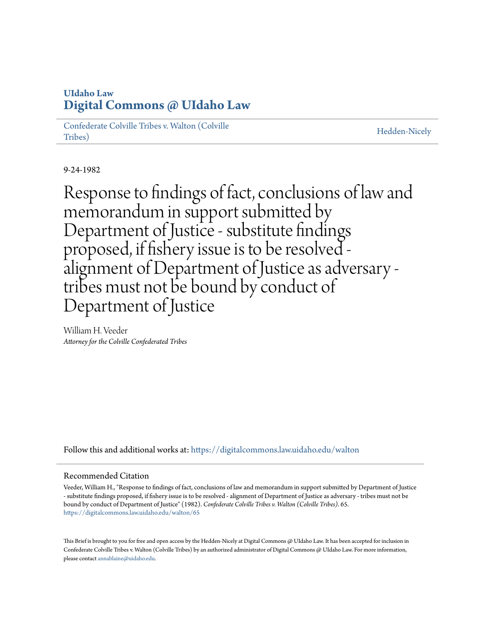## **UIdaho Law [Digital Commons @ UIdaho Law](https://digitalcommons.law.uidaho.edu?utm_source=digitalcommons.law.uidaho.edu%2Fwalton%2F65&utm_medium=PDF&utm_campaign=PDFCoverPages)**

[Confederate Colville Tribes v. Walton \(Colville](https://digitalcommons.law.uidaho.edu/walton?utm_source=digitalcommons.law.uidaho.edu%2Fwalton%2F65&utm_medium=PDF&utm_campaign=PDFCoverPages) [Tribes\)](https://digitalcommons.law.uidaho.edu/walton?utm_source=digitalcommons.law.uidaho.edu%2Fwalton%2F65&utm_medium=PDF&utm_campaign=PDFCoverPages)

[Hedden-Nicely](https://digitalcommons.law.uidaho.edu/hedden-nicely?utm_source=digitalcommons.law.uidaho.edu%2Fwalton%2F65&utm_medium=PDF&utm_campaign=PDFCoverPages)

9-24-1982

Response to findings of fact, conclusions of law and memorandum in support submitted by Department of Justice - substitute findings proposed, if fishery issue is to be resolved alignment of Department of Justice as adversary tribes must not be bound by conduct of Department of Justice

William H. Veeder *Attorney for the Colville Confederated Tribes*

Follow this and additional works at: [https://digitalcommons.law.uidaho.edu/walton](https://digitalcommons.law.uidaho.edu/walton?utm_source=digitalcommons.law.uidaho.edu%2Fwalton%2F65&utm_medium=PDF&utm_campaign=PDFCoverPages)

## Recommended Citation

Veeder, William H., "Response to findings of fact, conclusions of law and memorandum in support submitted by Department of Justice - substitute findings proposed, if fishery issue is to be resolved - alignment of Department of Justice as adversary - tribes must not be bound by conduct of Department of Justice" (1982). *Confederate Colville Tribes v. Walton (Colville Tribes)*. 65. [https://digitalcommons.law.uidaho.edu/walton/65](https://digitalcommons.law.uidaho.edu/walton/65?utm_source=digitalcommons.law.uidaho.edu%2Fwalton%2F65&utm_medium=PDF&utm_campaign=PDFCoverPages)

This Brief is brought to you for free and open access by the Hedden-Nicely at Digital Commons @ UIdaho Law. It has been accepted for inclusion in Confederate Colville Tribes v. Walton (Colville Tribes) by an authorized administrator of Digital Commons @ UIdaho Law. For more information, please contact [annablaine@uidaho.edu](mailto:annablaine@uidaho.edu).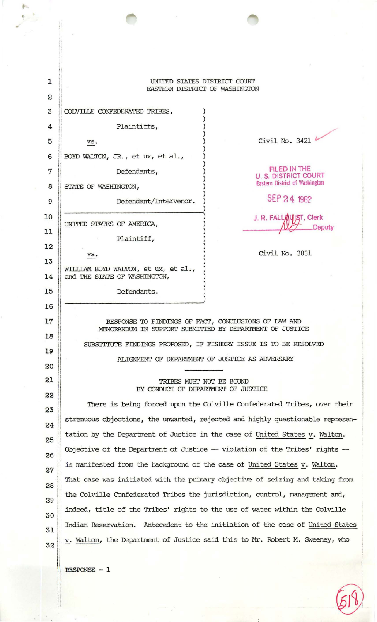| ı<br>2 | UNITED STATES DISTRICT COURT<br>EASTERN DISTRICT OF WASHINGTON                                                                                                                       |                                                                               |
|--------|--------------------------------------------------------------------------------------------------------------------------------------------------------------------------------------|-------------------------------------------------------------------------------|
| 3      | COLVILLE CONFEDERATED TRIBES,                                                                                                                                                        |                                                                               |
| 4      | Plaintiffs,                                                                                                                                                                          |                                                                               |
| 5      | VS.                                                                                                                                                                                  | Civil No. 3421                                                                |
| 6      | BOYD WALTON, JR., et ux, et al.,                                                                                                                                                     |                                                                               |
| 7      | Defendants,                                                                                                                                                                          | <b>FILED IN THE</b>                                                           |
| 8      | STATE OF WASHINGION,                                                                                                                                                                 | <b>U. S. DISTRICT COURT</b><br><b>Eastern District of Washington</b>          |
| 9      | Defendant/Intervenor.                                                                                                                                                                | SEP 24 1982                                                                   |
| 10     |                                                                                                                                                                                      | J. R. FALLAUIST, Clerk                                                        |
| 11     | UNITED STATES OF AMERICA,                                                                                                                                                            | <b>Deputy</b>                                                                 |
| 12     | Plaintiff,                                                                                                                                                                           |                                                                               |
| 13     | VS.                                                                                                                                                                                  | Civil No. 3831                                                                |
| 14     | WILLIAM BOYD WALTON, et ux, et al.,<br>and THE STATE OF WASHINGTON,                                                                                                                  |                                                                               |
| 15     | Defendants.                                                                                                                                                                          |                                                                               |
| 16     |                                                                                                                                                                                      |                                                                               |
| 17     | RESPONSE TO FINDINGS OF FACT, CONCLUSIONS OF LAW AND<br>MEMORANDUM IN SUPPORT SUBMITTED BY DEPARTMENT OF JUSTICE<br>SUBSTITUTE FINDINGS PROPOSED, IF FISHERY ISSUE IS TO BE RESOLVED |                                                                               |
| 18     |                                                                                                                                                                                      |                                                                               |
| 19     |                                                                                                                                                                                      | ALIGNMENT OF DEPARTMENT OF JUSTICE AS ADVERSARY                               |
| 20     |                                                                                                                                                                                      |                                                                               |
| 21     | TRIBES MUST NOT BE BOUND<br>BY CONDUCT OF DEPARTMENT OF JUSTICE                                                                                                                      |                                                                               |
| 22     |                                                                                                                                                                                      | There is being forced upon the Colville Confederated Tribes, over their       |
| 23     | strenuous objections, the unwanted, rejected and highly questionable represen-                                                                                                       |                                                                               |
| 24     | tation by the Department of Justice in the case of United States v. Walton.                                                                                                          |                                                                               |
| 25     |                                                                                                                                                                                      | Objective of the Department of Justice -- violation of the Tribes' rights --  |
| 26     | is manifested from the background of the case of United States v. Walton.                                                                                                            |                                                                               |
| 27     |                                                                                                                                                                                      | That case was initiated with the primary objective of seizing and taking from |
| 28     | the Colville Confederated Tribes the jurisdiction, control, management and,                                                                                                          |                                                                               |
| 29     | indeed, title of the Tribes' rights to the use of water within the Colville                                                                                                          |                                                                               |
| 30     | Indian Reservation. Antecedent to the initiation of the case of United States                                                                                                        |                                                                               |
| 31     |                                                                                                                                                                                      | v. Walton, the Department of Justice said this to Mr. Robert M. Sweeney, who  |
| 32     |                                                                                                                                                                                      |                                                                               |
|        |                                                                                                                                                                                      |                                                                               |

 $\overline{\mathcal{D}}$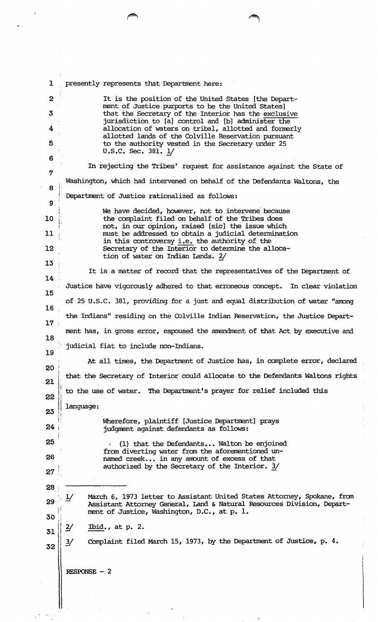| $\mathbf{r}$     | presently represents that Department here:                                                                                                              |  |
|------------------|---------------------------------------------------------------------------------------------------------------------------------------------------------|--|
| $\mathbf{2}$     | It is the position of the United States [the Depart-<br>ment of Justice purports to be the United States]                                               |  |
| 3                | that the Secretary of the Interior has the exclusive                                                                                                    |  |
| 4                | jurisdiction to [a] control and [b] administer the<br>allocation of waters on tribal, allotted and formerly                                             |  |
| 5                | allotted lands of the Colville Reservation pursuant<br>to the authority vested in the Secretary under 25                                                |  |
| 6                | U.S.C. Sec. 381. 1/                                                                                                                                     |  |
| 7                | In rejecting the Tribes' request for assistance against the State of                                                                                    |  |
| 8                | Washington, which had intervened on behalf of the Defendants Waltons, the                                                                               |  |
| $\boldsymbol{9}$ | Department of Justice rationalized as follows:                                                                                                          |  |
| 10               | We have decided, however, not to intervene because<br>the complaint filed on behalf of the Tribes does                                                  |  |
|                  | not, in our opinion, raised [sic] the issue which                                                                                                       |  |
| 11               | must be addressed to obtain a judicial determination<br>in this controversy i.e. the authority of the                                                   |  |
| 12               | Secretary of the Interior to determine the alloca-<br>tion of water on Indian Lands. 2/                                                                 |  |
| 13               | It is a matter of record that the representatives of the Department of                                                                                  |  |
| 14               | Justice have vigorously adhered to that erroneous concept. In clear violation                                                                           |  |
| 15               | of 25 U.S.C. 381, providing for a just and equal distribution of water "among"                                                                          |  |
| 16               | the Indians" residing on the Colville Indian Reservation, the Justice Depart-                                                                           |  |
| 17 <sup>7</sup>  |                                                                                                                                                         |  |
| 18               | ment has, in gross error, espoused the amendment of that Act by executive and                                                                           |  |
| 19               | judicial fiat to include non-Indians.                                                                                                                   |  |
| 20               | At all times, the Department of Justice has, in complete error, declared                                                                                |  |
| 21               | that the Secretary of Interior could allocate to the Defendants Waltons rights                                                                          |  |
| 22               | to the use of water. The Department's prayer for relief included this                                                                                   |  |
| 23               | language:                                                                                                                                               |  |
| 24               | Wherefore, plaintiff [Justice Department] prays<br>judgment against defendants as follows:                                                              |  |
| 25               | (1) that the Defendants Walton be enjoined<br>$\mathbf{r}$                                                                                              |  |
| 26               | from diverting water from the aforementioned un-<br>named creek in any amount of excess of that                                                         |  |
| 27               | authorized by the Secretary of the Interior. 3/                                                                                                         |  |
| 28               |                                                                                                                                                         |  |
| 29               | March 6, 1973 letter to Assistant United States Attorney, Spokane, from<br>1/<br>Assistant Attorney General, Land & Natural Resources Division, Depart- |  |
| 30               | ment of Justice, Washington, D.C., at p. l.                                                                                                             |  |
| 31               | Ibid., at $p. 2.$<br>$\frac{2}{}$                                                                                                                       |  |
| 32               | Complaint filed March 15, 1973, by the Department of Justice, p. 4.<br>$\frac{3}{2}$                                                                    |  |
|                  | RESPONSE $-2$                                                                                                                                           |  |
|                  |                                                                                                                                                         |  |
|                  |                                                                                                                                                         |  |

 $\mathbf{I}$ 

 $\label{eq:2} \frac{1}{2} \left( \frac{1}{2} \right)^2 \left( \frac{1}{2} \right)^2$ 

 $\hat{\mathcal{A}}$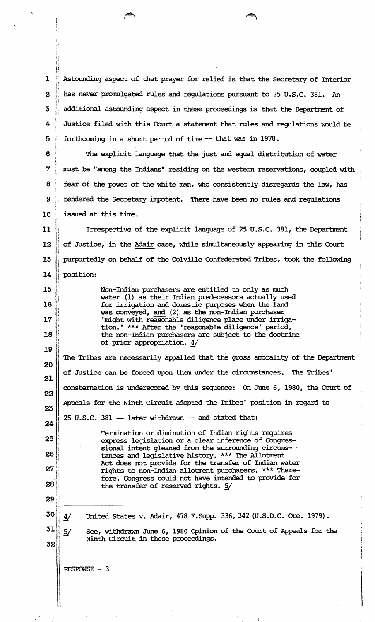$\mathbf{I}$ i. i:  $\overline{2}$  $\mathop{||}\limits_{\mathop{||}\limits_{\mathop{||}\limits_{\mathop{||}\limits{}}}}$ 3 <sup>i</sup> !I i.  $\boldsymbol{4}$ j i:  $5$ i: Astounding aspect of that prayer for relief is that the Secretary of Interior has never promulgated rules and regulations pursuant to 25 u.s.c. 381. An additional astounding aspect in these proceedings is that the Department of Justice filed with this Court a statement that rules and regulations would be forthcoming in a short period of time -- that was in 1978.

 $6$ ,. L  $7$ j· 8 <sup>I</sup> <sup>~</sup>1  $\boldsymbol{9}$ :. I; I i. 10 <sup>1</sup> The explicit language that the just and equal distribution of water must be "among the Indians" residing on the western reservations, coupled with fear of the power of the white man, who consistently disregards the law, has rendered the Secretary impotent. There have been no rules and regulations issued at this time.

<sup>11</sup>l  $\prod_{i=1}^{n}$ 12 I <sup>13</sup>I **14** ll Irrespective of the explicit language of 25 u.s.c. 381, the Department of Justice, in the Adair case, while simultaneously appearing in this Court purportedly on behalf of the Colville Confederated Tribes, took the following position:

> Non-Indian purchasers are entitled to only as much water (1) as their Indian predecessors actually used for irrigation and darestic purposes when the land was conveyed, and (2) as the non-Indian purchaser 'might with reasonable diligence place under irrigation. • \*\*\* After the 'reasonable diligence' period, the non-Indian purchasers are subject to the doctrine of prior appropriation. 4/

20 21 22 .23 24 251 26 l' 27 I• ·lj 281: li The Tribes are necessarily appalled that the gross amorality of the Department of Justice can be forced upon than under the circumstances. The Tribes' consternation is underscored by this sequence: On June 6, 1980, the Court of Appeals for the Ninth Circuit adopted the Tribes' position in regard to  $25$  U.S.C.  $381 -$  later withdrawn  $-$  and stated that: Termination or diminution of Indian rights requires express legislation or a clear inference of Congressional intent gleaned from the surrounding circumstances and legislative history. \*\*\* The Allotment Act does not provide for the transfer of Indian water rights to non-Indian allotment purchasers. \*\*\* Therefore, Congress could not have intended to provide for the transfer of reserved rights. 5/ a:-------

29 30

 $\mathbf{i}$ 

 $\mathbf{r}$  :

i I ll <sup>~</sup>:

I'

**15** I ļ.

<sup>16</sup>i  $\begin{array}{c} 16 \\ 17 \end{array}$ 

<sup>18</sup>l !!<br>!! j 19

31

32

4/ United States v. Adair, 478 F .Supp. 336, 342 (U.s .D.C. Ore. 1979) •

 $\frac{5}{2}$ See, withdrawn June 6, 1980 Opinion of the Court of Appeals for the Ninth Circuit in these proceedings.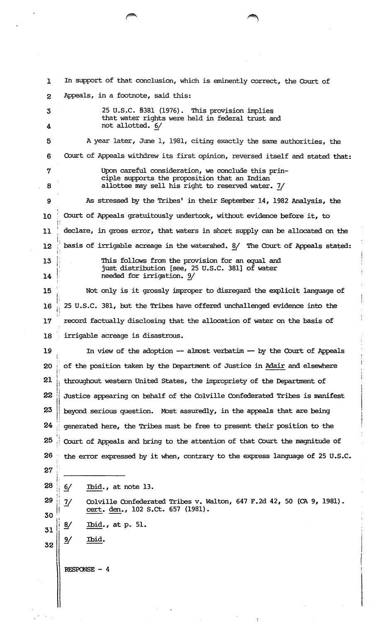1 In support of that conclusion, which is eminently correct, the Court of 2 Appeals, in a footnote, said this: 3 25 U.S.C. §381 (1976). This provision implies that water rights were held in federal trust and 4 not allotted. 6/ 5 A year later, June 1, 1981, citing exactly the same authorities, the 6 Court of Appeals withdrew its first opinion, reversed itself and stated that: 7 Upon careful consideration, we conclude this principle supports the proposition that an Indian 8 allottee may sell his right to reserved water. 7/ 9 As stressed by the Tribes' in their September 14, 1982 Analysis, the 10 Court of Appeals gratuitously undertook, without evidence before it, to !' 11 is declare, in gross error, that waters in short supply can be allocated on the I I! 12  $\parallel$  basis of irrigable acreage in the watershed.  $\frac{8}{ }$  The Court of Appeals stated: 13 L **14** 15 This follows from the provision for an equal and just distribution [see, 25 U.S.C. 381] of water needed for irrigation. 9/ Not only is it grossly improper to disregard the explicit language of  $\mathbf{I}$ 16  $\frac{1}{10}$  25 U.S.C. 381, but the Tribes have offered unchallenged evidence into the  $\cdot$ 17 record factually disclosing that the allocation of water on the basis of 18 irrigable acreage is disastrous. 19 In view of the adoption -- almost verbatim -- by the Court of Appeals 20 of the position taken by the Department of Justice in Adair and elsewhere j 21  $\parallel$  throughout western United States, the impropriety of the Department of 22 231 Justice appearing on behalf of the Colville Confederated Tribes is manifest beyond serious question. Most assuredly, in the appeals that are being  $24$  generated here, the Tribes must be free to present their position to the i'  $25$   $\parallel$  Court of Appeals and bring to the attention of that Court the magnitude of 26 the error expressed by it when, contrary to the express language of 25 U.S.C. **27** i !:  $28 \t 6/$ I'  $29 \frac{1}{17}$ 30  $31 \mid \frac{8}{1}$  $32$  ||  $9/$ Ibid. , at note 13. Colville Confederated Tribes v. Walton, 647 F .2d 42, 50 (CA 9, 1981). cert. den., 102 s.ct. 657 (1981). Ibid., at p. 51. Ibid.  $RESPONSE - 4$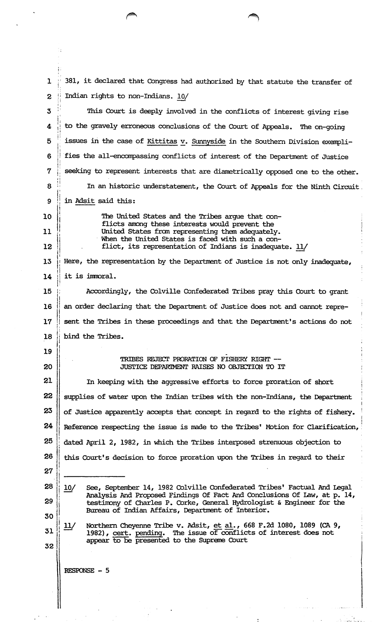$\mathbf{1}$ 381, it declared that Congress had authorized by that statute the transfer of Indian rights to non-Indians. 10/  $\overline{2}$  $\overline{3}$ This Court is deeply involved in the conflicts of interest giving rise to the gravely erroneous conclusions of the Court of Appeals. The on-going 4  $\overline{5}$ issues in the case of Kittitas v. Sunnyside in the Southern Division exempli-

fies the all-encompassing conflicts of interest of the Department of Justice 6 seeking to represent interests that are diametrically opposed one to the other. 7 8 In an historic understatement, the Court of Appeals for the Ninth Circuit. in Adsit said this: 9

10

11 12

19

20

The United States and the Tribes argue that conflicts among these interests would prevent the United States from representing them adequately. When the United States is faced with such a conflict, its representation of Indians is inadequate. 11/

Here, the representation by the Department of Justice is not only inadequate, 13  $14$ it is immoral.

15 Accordingly, the Colville Confederated Tribes pray this Court to grant an order declaring that the Department of Justice does not and cannot repre-16 sent the Tribes in these proceedings and that the Department's actions do not  $17$ bind the Tribes. 18

## TRIBES REJECT PRORATION OF FISHERY RIGHT --JUSTICE DEPARIMENT RAISES NO OBJECTION TO IT

21 In keeping with the aggressive efforts to force proration of short 22 supplies of water upon the Indian tribes with the non-Indians, the Department 23 of Justice apparently accepts that concept in regard to the rights of fishery. 24 Reference respecting the issue is made to the Tribes' Motion for Clarification, 25 dated April 2, 1982, in which the Tribes interposed strenuous objection to 26 this Court's decision to force proration upon the Tribes in regard to their

27 28

 $10/$ 

29

See, September 14, 1982 Colville Confederated Tribes' Factual And Legal Analysis And Proposed Findings Of Fact And Conclusions Of Law, at p. 14, testimony of Charles P. Corke, General Hydrologist & Engineer for the Bureau of Indian Affairs, Department of Interior.

30 31

32

Northern Cheyenne Tribe v. Adsit, et al., 668 F.2d 1080, 1089 (CA 9,  $11/$ 1982), cert. pending. The issue of conflicts of interest does not appear to be presented to the Supreme Court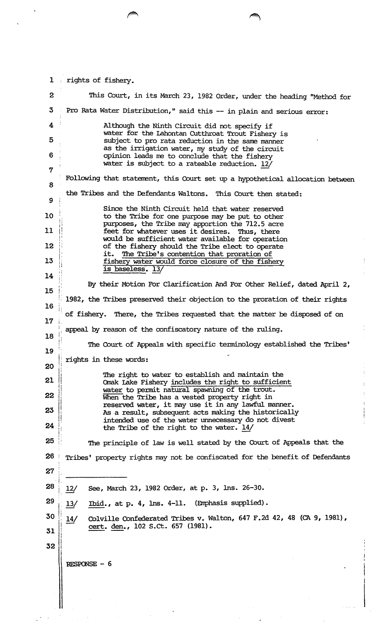| $\mathbf{1}$     | rights of fishery.                                                                                                                                                 |  |
|------------------|--------------------------------------------------------------------------------------------------------------------------------------------------------------------|--|
| $\boldsymbol{2}$ | This Court, in its March 23, 1982 Order, under the heading "Method for                                                                                             |  |
| 3                | Pro Rata Water Distribution," said this -- in plain and serious error:                                                                                             |  |
| 4                | Although the Ninth Circuit did not specify if<br>water for the Lahontan Cutthroat Trout Fishery is                                                                 |  |
| 5                | subject to pro rata reduction in the same manner<br>as the irrigation water, my study of the circuit                                                               |  |
| 6                | opinion leads me to conclude that the fishery<br>water is subject to a rateable reduction. 12/                                                                     |  |
| 7                | Following that statement, this Court set up a hypothetical allocation between                                                                                      |  |
| 8                | the Tribes and the Defendants Waltons. This Court then stated:                                                                                                     |  |
| 9                | Since the Ninth Circuit held that water reserved                                                                                                                   |  |
| 10               | to the Tribe for one purpose may be put to other<br>purposes, the Tribe may apportion the 712.5 acre                                                               |  |
| 11<br>12         | feet for whatever uses it desires. Thus, there<br>would be sufficient water available for operation<br>of the fishery should the Tribe elect to operate            |  |
| 13               | The Tribe's contention that proration of<br>it.<br>fishery water would force closure of the fishery                                                                |  |
| 14               | is baseless. 13/                                                                                                                                                   |  |
| 15               | By their Motion For Clarification And For Other Relief, dated April 2,                                                                                             |  |
| 16               | 1982, the Tribes preserved their objection to the proration of their rights                                                                                        |  |
| 17 <sub>2</sub>  | of fishery. There, the Tribes requested that the matter be disposed of on                                                                                          |  |
| 18               | appeal by reason of the confiscatory nature of the ruling.                                                                                                         |  |
| 19               | The Court of Appeals with specific terminology established the Tribes'                                                                                             |  |
| 20               | rights in these words:                                                                                                                                             |  |
| 21               | The right to water to establish and maintain the<br>Omak Lake Fishery includes the right to sufficient                                                             |  |
| 22               | water to permit natural spawning of the trout.<br>When the Tribe has a vested property right in                                                                    |  |
| 23               | reserved water, it may use it in any lawful manner.<br>As a result, subsequent acts making the historically<br>intended use of the water unnecessary do not divest |  |
| 24               | the Tribe of the right to the water. 14/                                                                                                                           |  |
| 25               | The principle of law is well stated by the Court of Appeals that the                                                                                               |  |
| 26               | Tribes' property rights may not be confiscated for the benefit of Defendants                                                                                       |  |
| 27               |                                                                                                                                                                    |  |
| 28               | See, March 23, 1982 Order, at p. 3, lns. 26-30.<br>12/                                                                                                             |  |
| 29               | Ibid., at p. 4, lns. 4-11. (Emphasis supplied).<br>13/                                                                                                             |  |
| 30               | Colville Confederated Tribes v. Walton, 647 F.2d 42, 48 (CA 9, 1981),<br>14/<br>cert. den., 102 S.Ct. 657 (1981).                                                  |  |
| 31               |                                                                                                                                                                    |  |
| 32               |                                                                                                                                                                    |  |
|                  | RESPONSE - 6                                                                                                                                                       |  |
|                  |                                                                                                                                                                    |  |
|                  |                                                                                                                                                                    |  |
|                  |                                                                                                                                                                    |  |

ŧ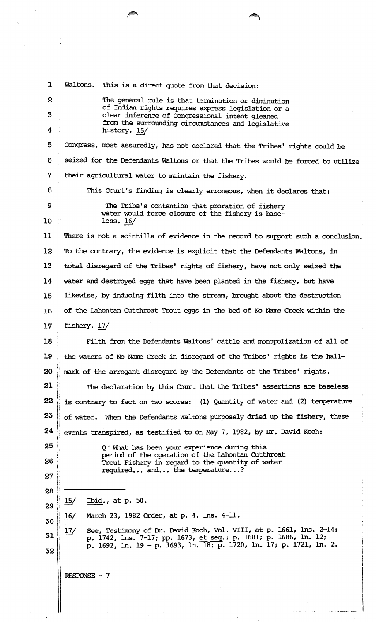1 Waltons. This is a direct quote from that decision: The general rule is that termination or diminution of Indian rights requires express legislation or a clear inference of Congressional intent gleaned from the surrounding circumstances and legislative history. 15/ 2 3 4 5 Congress, nost assuredly, has not declared that the Tribes' rights could be 6 · seized for the Defendants Waltons or that the Tribes would be forced to utilize 7 their agricultural water to maintain the fishery. 8 This Court's finding is clearly erroneous, when it declares that: 9 The Tribe's contention that proration of fishery water would force closure of the fishery is base-10 less. 16/  $11$   $\cdots$  There is not a scintilla of evidence in the record to support such a conclusion. ll  $12$  ; To the contrary, the evidence is explicit that the Defendants Waltons, in 13 : total disregard of the Tribes' rights of fishery, have not only seized the  $;$   $\,$ 14 ; water and destroyed eggs that have been planted in the fishery, but have 15 likewise, by inducing filth into the stream, brought about the destruction 16 of the Lahontan Cutthroat Trout eggs in the bed of No Name Creek within the 17 fishery. 17/ 18 I *t;*  Filth from the Defendants Waltons' cattle and monopolization of all of 19 . the waters of No Name Creek in disregard of the Tribes' rights is the hall- $20$   $\frac{1}{10}$  mark of the arrogant disregard by the Defendants of the Tribes' rights. l' 21 I! The declaration by this Court that the Tribes' assertions are baseless I;  $22~\parallel$  is contrary to fact on two scores: (1) Quantity of water and (2) temperature  $23$  of water. When the Defendants Waltons purposely dried up the fishery, these 1:  $24$  events transpired, as testified to on May 7, 1982, by Dr. David Koch: 25 26. <sup>~</sup>' 27 ' Q • Whnt has been your experience during this period of the operation of the Lahontan CUtthroat Trout Fishery in regard to the quantity of water required... and... the temperature...?  $28$   $\overline{\hspace{1cm}}$ j;  $29 \frac{15}{ }$ l  $30 \frac{16}{ }$  $\begin{array}{|c|c|} \hline 31 & 17 \ \hline \end{array}$ 32 i Ibid., at p. 50. March 23, 1982 Order, at p. 4, lns. 4-11. See, Testinony of Dr. David Koch, Vol. VIII, at p. 1661, Ins. 2-14; p. 1742, lns. 7-17; pp. 1673, et seq.; p. 1681; p. 1686, ln. 12; p. 1692, ln. 19 - p. 1693, ln. 18; p. 1720, ln. 17; p. 1721, ln. 2. RESPONSE - 7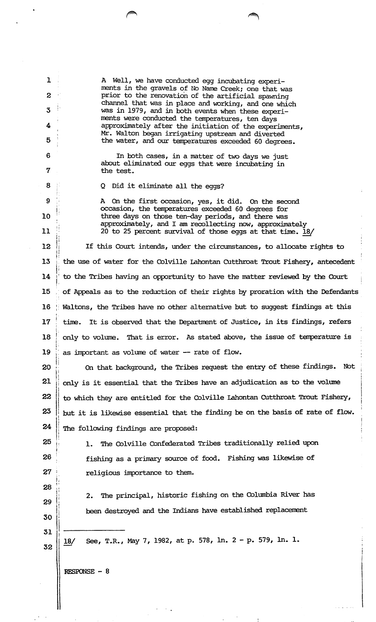A Well, we have conducted egg incubating experiments in the gravels of No Name Creek; one that was prior to the renovation of the artificial spawning channel that was in place and working, and one which was in 1979, and in both events when these experiments were conducted the temperatures, ten days approximately after the initiation of the experiments, Mr. Walton began irrigating upstream and diverted the water, and our temperatures exceeded 60 degrees.

In both cases, in a matter of two days we just about eliminated our eggs that were incubating in the test.

Q Did it eliminate all the eggs?

<sup>A</sup>On the first occasion, yes, it did. On the second occasion, the temperatures exceeded 60 degrees for three days on those ten-day periods, and there was approximately, and I am recollecting now, approximately 20 to 25 percent survival of those eggs at that time. 18/

 $12$ !t If this Court intends, under the circumstances, to allocate rights to 13 : the use of water for the Colville Lahontan Cutthroat Trout Fishery, antecedent 14 to the Tribes having an opportunity to have the matter reviewed by the Court 15 , of Appeals as to the reduction of their rights by proration with the Defendants 16 ; Waltons, the Tribes have no other alternative but to suggest findings at this 17 time. It is observed that the Department of Justice, in its findings, refers 18 only to volume. That is error. As stated above, the issue of temperature is 19 as important as volume of water -- rate of flow.

20 jl Jl 21 22 **23** 24 On that background, the Tribes request the entry of these findings. Not <sup>i</sup> only is it essential that the Tribes have an adjudication as to the volume to which they are entitled for the Colville lahontan CUtthroat Trout Fishery, but it is likewise essential that the finding be on the basis of rate of flow. The following findings are proposed:

1. The Colville Confederated Tribes traditionally relied upon

fishing as a primary source of food. Fishing was likewise of

**25** 26  $27$ 

**28** ll

29

30

32

*i* 

!;

ll

1

 $\mathbf{Z}$ 

4

5

6

7

8

9

 $11$ 

10

,, 'l

 $\frac{1}{2}$ <sup>3</sup>..

religious importance to them.

2. The principal, historic fishing on the Columbia River has been destroyed and the Indians have established replacenent

31 ------- 18/ See, T.R., May 7, 1982, at p. 578, ln. 2- p. 579, ln. 1.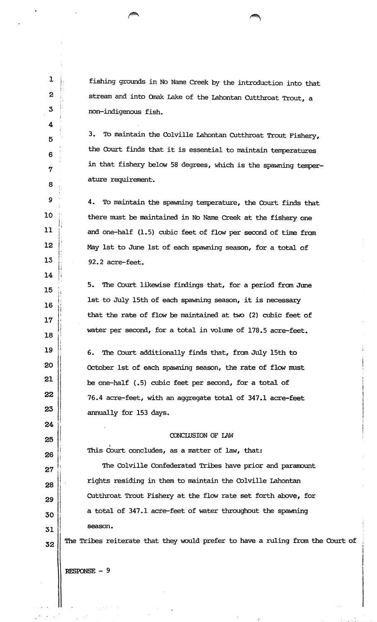fishing grounds in No Name Creek by the introduction into that stream and into Qnak Lake of the lahontan CUtthroat Trout, a non-indigenous fish.

3. To maintain the Colville Lahontan Cutthroat Trout Fishery, the Court finds that it is essential to maintain terrperatures in that fishery below 58 degrees, which is the spawning temperature requirement·.

4. To maintain the spawning temperature, the Court finds that there must be maintained in No Narre Creek at the fishery one and one-half (1.5) cubic feet of flow per second of time from May 1st to June 1st of each spawning season, for a total of 92.2 acre-feet.

5. The Court likewise findings that, for a period from June 1st to July 15th of each spawning season, it is necessary that the rate of flow be maintained at two (2) cubic feet of water per second, for a total in volume of 178.5 acre-feet.

6. The Court additionally finds that, fran July 15th to October 1st of each spawning season, the rate of flow must be one-half (.5) cubic feet per second, for a total of 76.4 acre-feet, with an aggregate total of 347.1 acre-feet annually for 153 days.

## CONCIDSION OF IAW

This  $\stackrel{\text{\scriptsize{c}}}{\text{\scriptsize{ourt}}}$  concludes, as a matter of law, that:

The Colville Confederated Tribes have prior and paranount rights residing in them to maintain the Colville Lahontan CUtthroat Trout Fishery at the flow rate set forth above, for a total of 347.1 acre-feet of water throughout the spawning season.

The Tribes reiterate that they would· prefer to have a ruling from the Court of

RESPONSE- 9

 $\mathbf 1$ ;·  $\ddot{\phantom{a}}$  : I,

 $\mathbf{2}$ 

 $3<sub>o</sub>$ 

4

5

6

7

8 ..

9

**10** 

 $11$ i 1  $\mathfrak{l}$  :

**12** 

13 \

 $14$ 

15 <sup>I</sup>

16 ,,  $\ddot{\phantom{a}}$ I!

**17** jl

**18** 

19

**20** 

21

22

23

24

25

26

 $27$ 

Jl 28

29

30

31 I

32

 $\mathbf{I}$ 

; I. I'

I. !·

1:

 $\mathbf{H}$ 

:i l·

j!

j

 $\left\{ \cdot\right\}$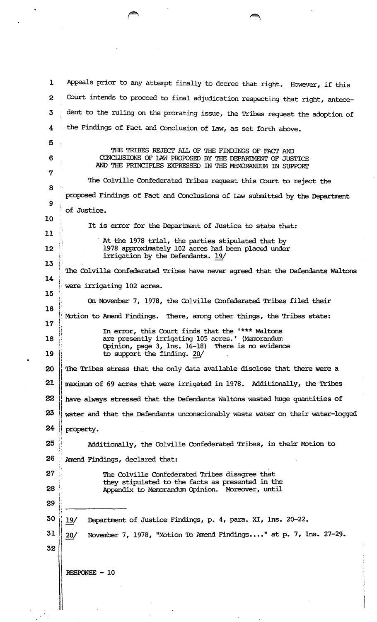1 Appeals prior to any attempt finally to decree that right. However, if this 2 Court intends to proceed to final adjudication respecting that right, antece-3 dent to the ruling on the prorating issue, the Tribes request the adoption of 4 the Findings of Fact and Conclusion of Law, as set forth above. 5 6 7 8 9 10 11 12 13 14 15 THE TRIBES REJECT ALL OF THE FINDINGS OF FACT AND CONCLUSIONS OF LAW PROPOSED BY THE DEPARIMENT OF JUSTICE AND THE PRINCIPLES EXPRESSED IN THE MEMORANDUM IN SUPPORI' The Colville Confederated Tribes request this Court to reject the proposed Findings of Fact and Conclusions of Law submitted by the Department of Justice. It is error for the Department of Justice to state that: At the 1978 trial, the parties stipulated that by 1978 approximately 102 acres had been placed under irrigation by the Defendants. 19/ The Colville Confederated Tribes have never agreed that the Defendants Waltons were irrigating 102 acres. On November 7, 1978, the Colville Confederated Tribes filed their Motion to Amend Findings. There, among other things, the Tribes state: 16 17 18 ° In error, this Court finds that the • \*\*\* Waltons are presently irrigating 105 acres.' (Memorandum<br>Opinion, page 3, lns. 16-18) There is no evidence Opinion, page 3, lns. 16-18) 19 is to support the finding. 20/ *l*   $20$  || The Tribes stress that the only data available disclose that there were a 21  $\parallel$  maximum of 69 acres that were irrigated in 1978. Additionally, the Tribes I 22  $\parallel$  have always stressed that the Defendants Waltons wasted huge quantities of  $\vert$  $23$   $\parallel$  water and that the Defendants unconscionably waste water on their water-logged  $24$  | property.  $\mathbf{I}$  , 25 **Additionally, the Colville Confederated Tribes, in their Motion to** l' !: 26 ; Amend Findings, declared that: 27 28 29 30 31 32  $19/$  $20/$ The Colville Confederated Tribes disagree that they stipulated to the facts as presented in the Appendix to Menorandum Opinion. Moreover, until Department of Justice Findings, p. 4, para. XI, lns. 20-22. November 7, 1978, "Motion To Amend Findings...." at p. 7, lns. 27-29.  $RESPONSE - 10$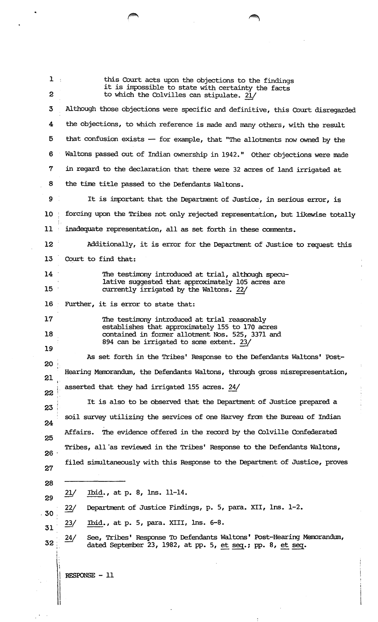| $1 +$            | this Court acts upon the objections to the findings<br>it is impossible to state with certainty the facts                                   |  |
|------------------|---------------------------------------------------------------------------------------------------------------------------------------------|--|
| $\boldsymbol{z}$ | to which the Colvilles can stipulate. 21/                                                                                                   |  |
| $\mathbf{3}$     | Although those objections were specific and definitive, this Court disregarded                                                              |  |
| 4                | the objections, to which reference is made and many others, with the result                                                                 |  |
| 5                | that confusion exists - for example, that "The allotments now owned by the                                                                  |  |
| 6                | Waltons passed out of Indian ownership in 1942." Other objections were made                                                                 |  |
| 7                | in regard to the declaration that there were 32 acres of land irrigated at                                                                  |  |
| 8                | the time title passed to the Defendants Waltons.                                                                                            |  |
| 9                | It is important that the Department of Justice, in serious error, is                                                                        |  |
| 10 <sup>1</sup>  | forcing upon the Tribes not only rejected representation, but likewise totally                                                              |  |
| 11               | inadequate representation, all as set forth in these comments.                                                                              |  |
| 12 <sup>7</sup>  | Additionally, it is error for the Department of Justice to request this                                                                     |  |
| 13               | Court to find that:                                                                                                                         |  |
| 14               | The testimony introduced at trial, although specu-                                                                                          |  |
| 15 <sup>2</sup>  | lative suggested that approximately 105 acres are<br>currently irrigated by the Waltons. 22/                                                |  |
| 16 <sup>1</sup>  | Further, it is error to state that:                                                                                                         |  |
| 17               | The testimony introduced at trial reasonably                                                                                                |  |
| 18               | establishes that approximately 155 to 170 acres<br>contained in former allotment Nos. 525, 3371 and                                         |  |
| 19               | 894 can be irrigated to some extent. 23/                                                                                                    |  |
| 20               | As set forth in the Tribes' Response to the Defendants Waltons' Post-                                                                       |  |
| 21               | Hearing Memorandum, the Defendants Waltons, through gross misrepresentation,                                                                |  |
| 22               | asserted that they had irrigated 155 acres. 24/                                                                                             |  |
| 23               | It is also to be observed that the Department of Justice prepared a                                                                         |  |
| 24               | soil survey utilizing the services of one Harvey from the Bureau of Indian                                                                  |  |
| 25               | The evidence offered in the record by the Colville Confederated<br>Affairs.                                                                 |  |
| 26               | Tribes, all 'as reviewed in the Tribes' Response to the Defendants Waltons,                                                                 |  |
| 27               | filed simultaneously with this Response to the Department of Justice, proves                                                                |  |
| 28               |                                                                                                                                             |  |
| 29               | Ibid., at p. 8, $\ln 11 - 14$ .<br>21/                                                                                                      |  |
| .30              | 22/<br>Department of Justice Findings, p. 5, para. XII, lns. 1-2.                                                                           |  |
| 31               | Ibid., at p. 5, para. XIII, lns. 6-8.<br>$\frac{23}{2}$                                                                                     |  |
| 32               | See, Tribes' Response To Defendants Waltons' Post-Hearing Memorandum,<br>24/<br>dated September 23, 1982, at pp. 5, et seq.; pp. 8, et seq. |  |
|                  | RESPONSE - 11                                                                                                                               |  |

 $\frac{1}{2}$ 

 $\frac{1}{2}$ 

 $\label{eq:2} \frac{1}{2} \int_{\mathbb{R}^3} \frac{1}{\sqrt{2}} \, \mathrm{d} \xi \, \mathrm{d} \xi$ 

 $\ddot{\phantom{0}}$ 

 $\hat{\mathcal{L}}$ 

 $\epsilon$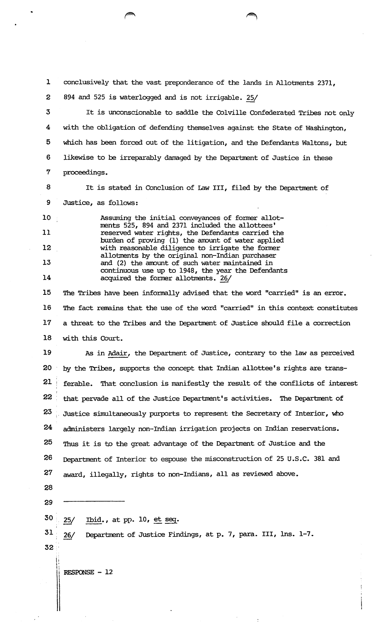1 conclusively that the vast preponderance of the lands in Allotments 2371,

2 894 and 525 is waterlogged and is not irrigable. 25/

3 4 5 6 7 It is unconscionable to saddle the Colville Confederated Tribes not only with the obligation of defending themselves against the State of Washington, which has been forced out of the litigation, and the Defendants Waltons, but likewise to be irreparably damaged by the Department of Justice in these proceedings.

8 9 It is stated in Conclusion of Law III, filed by the Department of Justice, as follows:

10 11 12 13 14 Assuming the initial conveyances of former allotments 525, 894 and 2371 included the allottees' reserved water rights, the Defendants carried the burden of proving (1) the amount of water applied with reasonable diligence to irrigate the former allotments by the original non-Indian purchaser and (2) the amount of such water maintained in continuous use up to 1948, the year the Defendants acquired the fonrer allotments. 26/

15 16 17 18 The Tribes have been informally advised that the word "carried" is an error. The fact remains that the use of the word "carried" in this context constitutes a threat to the Tribes and the Department of Justice should file a correction with this Court.

19 20 21 22  $23<sub>o</sub>$ 24 25 26 27 As in Adair, the Department of Justice, contrary to the law as perceived by the Tribes, supports the concept that Indian allottee's rights are transferable. That conclusion is manifestly the result of the conflicts of interest that pervade all of the Justice Department's activities. The Department of Justice simultaneously purports to represent the Secretary of Interior, who administers largely non-Indian irrigation projects on Indian reservations. Thus it is to the great advantage of the Department of Justice and the Department of Interior to espouse the misconstruction of 25 U.S.C. 381 and award, illegally, rights to non-Indians, all as reviewed above.

28

29

30 •.

31' .. 25/ Ibid., at pp. 10, et seq.<br>26/ Department of Justice Findings, at p. 7, para. III, lns. 1-7.

32